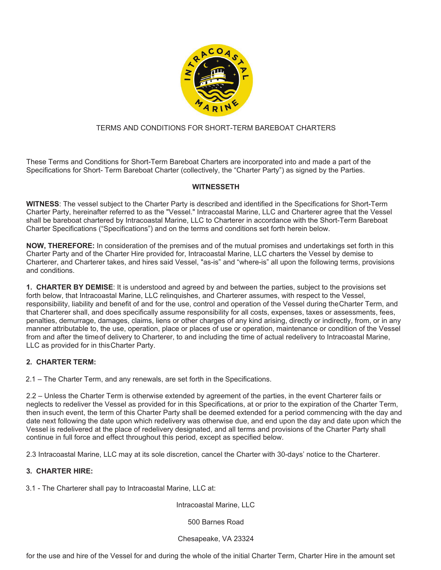

# TERMS AND CONDITIONS FOR SHORT-TERM BAREBOAT CHARTERS

These Terms and Conditions for Short-Term Bareboat Charters are incorporated into and made a part of the Specifications for Short- Term Bareboat Charter (collectively, the "Charter Party") as signed by the Parties.

### **WITNESSETH**

**WITNESS**: The vessel subject to the Charter Party is described and identified in the Specifications for Short-Term Charter Party, hereinafter referred to as the "Vessel." Intracoastal Marine, LLC and Charterer agree that the Vessel shall be bareboat chartered by Intracoastal Marine, LLC to Charterer in accordance with the Short-Term Bareboat Charter Specifications ("Specifications") and on the terms and conditions set forth herein below.

**NOW, THEREFORE:** In consideration of the premises and of the mutual promises and undertakings set forth in this Charter Party and of the Charter Hire provided for, Intracoastal Marine, LLC charters the Vessel by demise to Charterer, and Charterer takes, and hires said Vessel, "as-is" and "where-is" all upon the following terms, provisions and conditions.

**1. CHARTER BY DEMISE**: It is understood and agreed by and between the parties, subject to the provisions set forth below, that Intracoastal Marine, LLC relinquishes, and Charterer assumes, with respect to the Vessel, responsibility, liability and benefit of and for the use, control and operation of the Vessel during the Charter Term, and that Charterer shall, and does specifically assume responsibility for all costs, expenses, taxes or assessments, fees, penalties, demurrage, damages, claims, liens or other charges of any kind arising, directly or indirectly, from, or in any manner attributable to, the use, operation, place or places of use or operation, maintenance or condition of the Vessel from and after the time of delivery to Charterer, to and including the time of actual redelivery to Intracoastal Marine, LLC as provided for in this Charter Party.

### **2. CHARTER TERM:**

2.1 – The Charter Term, and any renewals, are set forth in the Specifications.

2.2 – Unless the Charter Term is otherwise extended by agreement of the parties, in the event Charterer fails or neglects to redeliver the Vessel as provided for in this Specifications, at or prior to the expiration of the Charter Term, then in such event, the term of this Charter Party shall be deemed extended for a period commencing with the day and date next following the date upon which redelivery was otherwise due, and end upon the day and date upon which the Vessel is redelivered at the place of redelivery designated, and all terms and provisions of the Charter Party shall continue in full force and effect throughout this period, except as specified below.

2.3 Intracoastal Marine, LLC may at its sole discretion, cancel the Charter with 30-days' notice to the Charterer.

### **3. CHARTER HIRE:**

3.1 - The Charterer shall pay to Intracoastal Marine, LLC at:

Intracoastal Marine, LLC

500 Barnes Road

Chesapeake, VA 23324

for the use and hire of the Vessel for and during the whole of the initial Charter Term, Charter Hire in the amount set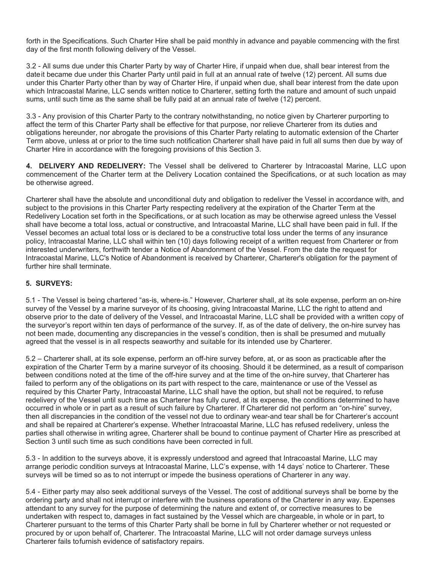forth in the Specifications. Such Charter Hire shall be paid monthly in advance and payable commencing with the first day of the first month following delivery of the Vessel.

3.2 - All sums due under this Charter Party by way of Charter Hire, if unpaid when due, shall bear interest from the date it became due under this Charter Party until paid in full at an annual rate of twelve (12) percent. All sums due under this Charter Party other than by way of Charter Hire, if unpaid when due, shall bear interest from the date upon which Intracoastal Marine, LLC sends written notice to Charterer, setting forth the nature and amount of such unpaid sums, until such time as the same shall be fully paid at an annual rate of twelve (12) percent.

3.3 - Any provision of this Charter Party to the contrary notwithstanding, no notice given by Charterer purporting to affect the term of this Charter Party shall be effective for that purpose, nor relieve Charterer from its duties and obligations hereunder, nor abrogate the provisions of this Charter Party relating to automatic extension of the Charter Term above, unless at or prior to the time such notification Charterer shall have paid in full all sums then due by way of Charter Hire in accordance with the foregoing provisions of this Section 3.

**4. DELIVERY AND REDELIVERY:** The Vessel shall be delivered to Charterer by Intracoastal Marine, LLC upon commencement of the Charter term at the Delivery Location contained the Specifications, or at such location as may be otherwise agreed.

Charterer shall have the absolute and unconditional duty and obligation to redeliver the Vessel in accordance with, and subject to the provisions in this Charter Party respecting redelivery at the expiration of the Charter Term at the Redelivery Location set forth in the Specifications, or at such location as may be otherwise agreed unless the Vessel shall have become a total loss, actual or constructive, and Intracoastal Marine, LLC shall have been paid in full. If the Vessel becomes an actual total loss or is declared to be a constructive total loss under the terms of any insurance policy, Intracoastal Marine, LLC shall within ten (10) days following receipt of a written request from Charterer or from interested underwriters, forthwith tender a Notice of Abandonment of the Vessel. From the date the request for Intracoastal Marine, LLC's Notice of Abandonment is received by Charterer, Charterer's obligation for the payment of further hire shall terminate.

### **5. SURVEYS:**

5.1 - The Vessel is being chartered "as-is, where-is." However, Charterer shall, at its sole expense, perform an on-hire survey of the Vessel by a marine surveyor of its choosing, giving Intracoastal Marine, LLC the right to attend and observe prior to the date of delivery of the Vessel, and Intracoastal Marine, LLC shall be provided with a written copy of the surveyor's report within ten days of performance of the survey. If, as of the date of delivery, the on-hire survey has not been made, documenting any discrepancies in the vessel's condition, then is shall be presumed and mutually agreed that the vessel is in all respects seaworthy and suitable for its intended use by Charterer.

5.2 – Charterer shall, at its sole expense, perform an off-hire survey before, at, or as soon as practicable after the expiration of the Charter Term by a marine surveyor of its choosing. Should it be determined, as a result of comparison between conditions noted at the time of the off-hire survey and at the time of the on-hire survey, that Charterer has failed to perform any of the obligations on its part with respect to the care, maintenance or use of the Vessel as required by this Charter Party, Intracoastal Marine, LLC shall have the option, but shall not be required, to refuse redelivery of the Vessel until such time as Charterer has fully cured, at its expense, the conditions determined to have occurred in whole or in part as a result of such failure by Charterer. If Charterer did not perform an "on-hire" survey, then all discrepancies in the condition of the vessel not due to ordinary wear-and tear shall be for Charterer's account and shall be repaired at Charterer's expense. Whether Intracoastal Marine, LLC has refused redelivery, unless the parties shall otherwise in writing agree, Charterer shall be bound to continue payment of Charter Hire as prescribed at Section 3 until such time as such conditions have been corrected in full.

5.3 - In addition to the surveys above, it is expressly understood and agreed that Intracoastal Marine, LLC may arrange periodic condition surveys at Intracoastal Marine, LLC's expense, with 14 days' notice to Charterer. These surveys will be timed so as to not interrupt or impede the business operations of Charterer in any way.

5.4 - Either party may also seek additional surveys of the Vessel. The cost of additional surveys shall be borne by the ordering party and shall not interrupt or interfere with the business operations of the Charterer in any way. Expenses attendant to any survey for the purpose of determining the nature and extent of, or corrective measures to be undertaken with respect to, damages in fact sustained by the Vessel which are chargeable, in whole or in part, to Charterer pursuant to the terms of this Charter Party shall be borne in full by Charterer whether or not requested or procured by or upon behalf of, Charterer. The Intracoastal Marine, LLC will not order damage surveys unless Charterer fails to furnish evidence of satisfactory repairs.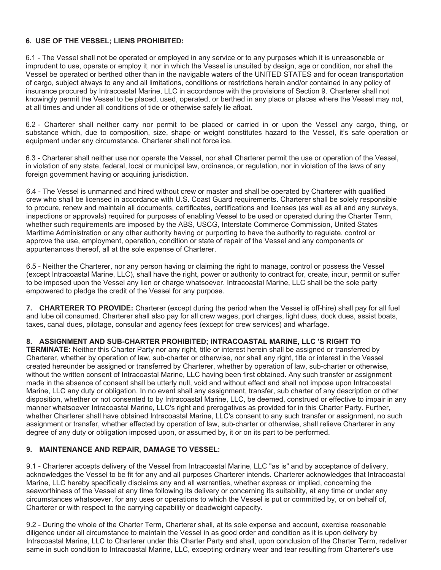# **6. USE OF THE VESSEL; LIENS PROHIBITED:**

6.1 - The Vessel shall not be operated or employed in any service or to any purposes which it is unreasonable or imprudent to use, operate or employ it, nor in which the Vessel is unsuited by design, age or condition, nor shall the Vessel be operated or berthed other than in the navigable waters of the UNITED STATES and for ocean transportation of cargo, subject always to any and all limitations, conditions or restrictions herein and/or contained in any policy of insurance procured by Intracoastal Marine, LLC in accordance with the provisions of Section 9. Charterer shall not knowingly permit the Vessel to be placed, used, operated, or berthed in any place or places where the Vessel may not, at all times and under all conditions of tide or otherwise safely lie afloat.

6.2 - Charterer shall neither carry nor permit to be placed or carried in or upon the Vessel any cargo, thing, or substance which, due to composition, size, shape or weight constitutes hazard to the Vessel, it's safe operation or equipment under any circumstance. Charterer shall not force ice.

6.3 - Charterer shall neither use nor operate the Vessel, nor shall Charterer permit the use or operation of the Vessel, in violation of any state, federal, local or municipal law, ordinance, or regulation, nor in violation of the laws of any foreign government having or acquiring jurisdiction.

6.4 - The Vessel is unmanned and hired without crew or master and shall be operated by Charterer with qualified crew who shall be licensed in accordance with U.S. Coast Guard requirements. Charterer shall be solely responsible to procure, renew and maintain all documents, certificates, certifications and licenses (as well as all and any surveys, inspections or approvals) required for purposes of enabling Vessel to be used or operated during the Charter Term, whether such requirements are imposed by the ABS, USCG, Interstate Commerce Commission, United States Maritime Administration or any other authority having or purporting to have the authority to regulate, control or approve the use, employment, operation, condition or state of repair of the Vessel and any components or appurtenances thereof, all at the sole expense of Charterer.

6.5 - Neither the Charterer, nor any person having or claiming the right to manage, control or possess the Vessel (except Intracoastal Marine, LLC), shall have the right, power or authority to contract for, create, incur, permit or suffer to be imposed upon the Vessel any lien or charge whatsoever. Intracoastal Marine, LLC shall be the sole party empowered to pledge the credit of the Vessel for any purpose.

**7. CHARTERER TO PROVIDE:** Charterer (except during the period when the Vessel is off-hire) shall pay for all fuel and lube oil consumed. Charterer shall also pay for all crew wages, port charges, light dues, dock dues, assist boats, taxes, canal dues, pilotage, consular and agency fees (except for crew services) and wharfage.

### **8. ASSIGNMENT AND SUB-CHARTER PROHIBITED; INTRACOASTAL MARINE, LLC 'S RIGHT TO**

**TERMINATE:** Neither this Charter Party nor any right, title or interest herein shall be assigned or transferred by Charterer, whether by operation of law, sub-charter or otherwise, nor shall any right, title or interest in the Vessel created hereunder be assigned or transferred by Charterer, whether by operation of law, sub-charter or otherwise, without the written consent of Intracoastal Marine, LLC having been first obtained. Any such transfer or assignment made in the absence of consent shall be utterly null, void and without effect and shall not impose upon Intracoastal Marine, LLC any duty or obligation. In no event shall any assignment, transfer, sub charter of any description or other disposition, whether or not consented to by Intracoastal Marine, LLC, be deemed, construed or effective to impair in any manner whatsoever Intracoastal Marine, LLC's right and prerogatives as provided for in this Charter Party. Further, whether Charterer shall have obtained Intracoastal Marine, LLC's consent to any such transfer or assignment, no such assignment or transfer, whether effected by operation of law, sub-charter or otherwise, shall relieve Charterer in any degree of any duty or obligation imposed upon, or assumed by, it or on its part to be performed.

### **9. MAINTENANCE AND REPAIR, DAMAGE TO VESSEL:**

9.1 - Charterer accepts delivery of the Vessel from Intracoastal Marine, LLC "as is" and by acceptance of delivery, acknowledges the Vessel to be fit for any and all purposes Charterer intends. Charterer acknowledges that Intracoastal Marine, LLC hereby specifically disclaims any and all warranties, whether express or implied, concerning the seaworthiness of the Vessel at any time following its delivery or concerning its suitability, at any time or under any circumstances whatsoever, for any uses or operations to which the Vessel is put or committed by, or on behalf of, Charterer or with respect to the carrying capability or deadweight capacity.

9.2 - During the whole of the Charter Term, Charterer shall, at its sole expense and account, exercise reasonable diligence under all circumstance to maintain the Vessel in as good order and condition as it is upon delivery by Intracoastal Marine, LLC to Charterer under this Charter Party and shall, upon conclusion of the Charter Term, redeliver same in such condition to Intracoastal Marine, LLC, excepting ordinary wear and tear resulting from Charterer's use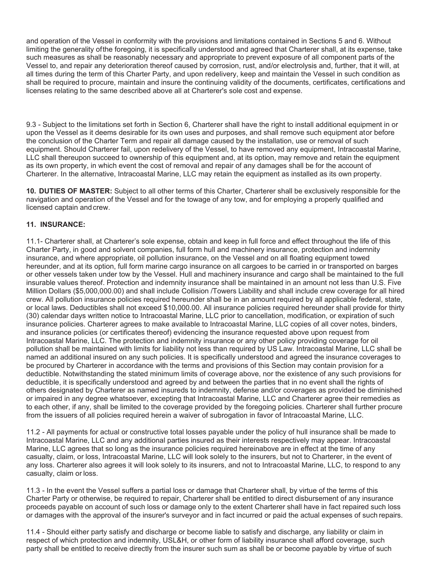and operation of the Vessel in conformity with the provisions and limitations contained in Sections 5 and 6. Without limiting the generality of the foregoing, it is specifically understood and agreed that Charterer shall, at its expense, take such measures as shall be reasonably necessary and appropriate to prevent exposure of all component parts of the Vessel to, and repair any deterioration thereof caused by corrosion, rust, and/or electrolysis and, further, that it will, at all times during the term of this Charter Party, and upon redelivery, keep and maintain the Vessel in such condition as shall be required to procure, maintain and insure the continuing validity of the documents, certificates, certifications and licenses relating to the same described above all at Charterer's sole cost and expense.

9.3 - Subject to the limitations set forth in Section 6, Charterer shall have the right to install additional equipment in or upon the Vessel as it deems desirable for its own uses and purposes, and shall remove such equipment ator before the conclusion of the Charter Term and repair all damage caused by the installation, use or removal of such equipment. Should Charterer fail, upon redelivery of the Vessel, to have removed any equipment, Intracoastal Marine, LLC shall thereupon succeed to ownership of this equipment and, at its option, may remove and retain the equipment as its own property, in which event the cost of removal and repair of any damages shall be for the account of Charterer. In the alternative, Intracoastal Marine, LLC may retain the equipment as installed as its own property.

**10. DUTIES OF MASTER:** Subject to all other terms of this Charter, Charterer shall be exclusively responsible for the navigation and operation of the Vessel and for the towage of any tow, and for employing a properly qualified and licensed captain and crew.

### **11. INSURANCE:**

11.1- Charterer shall, at Charterer's sole expense, obtain and keep in full force and effect throughout the life of this Charter Party, in good and solvent companies, full form hull and machinery insurance, protection and indemnity insurance, and where appropriate, oil pollution insurance, on the Vessel and on all floating equipment towed hereunder, and at its option, full form marine cargo insurance on all cargoes to be carried in or transported on barges or other vessels taken under tow by the Vessel. Hull and machinery insurance and cargo shall be maintained to the full insurable values thereof. Protection and indemnity insurance shall be maintained in an amount not less than U.S. Five Million Dollars (\$5,000,000.00) and shall include Collision /Towers Liability and shall include crew coverage for all hired crew. All pollution insurance policies required hereunder shall be in an amount required by all applicable federal, state, or local laws. Deductibles shall not exceed \$10,000.00. All insurance policies required hereunder shall provide for thirty (30) calendar days written notice to Intracoastal Marine, LLC prior to cancellation, modification, or expiration of such insurance policies. Charterer agrees to make available to Intracoastal Marine, LLC copies of all cover notes, binders, and insurance policies (or certificates thereof) evidencing the insurance requested above upon request from Intracoastal Marine, LLC. The protection and indemnity insurance or any other policy providing coverage for oil pollution shall be maintained with limits for liability not less than required by US Law. Intracoastal Marine, LLC shall be named an additional insured on any such policies. It is specifically understood and agreed the insurance coverages to be procured by Charterer in accordance with the terms and provisions of this Section may contain provision for a deductible. Notwithstanding the stated minimum limits of coverage above, nor the existence of any such provisions for deductible, it is specifically understood and agreed by and between the parties that in no event shall the rights of others designated by Charterer as named insureds to indemnity, defense and/or coverages as provided be diminished or impaired in any degree whatsoever, excepting that Intracoastal Marine, LLC and Charterer agree their remedies as to each other, if any, shall be limited to the coverage provided by the foregoing policies. Charterer shall further procure from the issuers of all policies required herein a waiver of subrogation in favor of Intracoastal Marine, LLC.

11.2 - All payments for actual or constructive total losses payable under the policy of hull insurance shall be made to Intracoastal Marine, LLC and any additional parties insured as their interests respectively may appear. Intracoastal Marine, LLC agrees that so long as the insurance policies required hereinabove are in effect at the time of any casualty, claim, or loss, Intracoastal Marine, LLC will look solely to the insurers, but not to Charterer, in the event of any loss. Charterer also agrees it will look solely to its insurers, and not to Intracoastal Marine, LLC, to respond to any casualty, claim or loss.

11.3 - In the event the Vessel suffers a partial loss or damage that Charterer shall, by virtue of the terms of this Charter Party or otherwise, be required to repair, Charterer shall be entitled to direct disbursement of any insurance proceeds payable on account of such loss or damage only to the extent Charterer shall have in fact repaired such loss or damages with the approval of the insurer's surveyor and in fact incurred or paid the actual expenses of such repairs.

11.4 - Should either party satisfy and discharge or become liable to satisfy and discharge, any liability or claim in respect of which protection and indemnity, USL&H, or other form of liability insurance shall afford coverage, such party shall be entitled to receive directly from the insurer such sum as shall be or become payable by virtue of such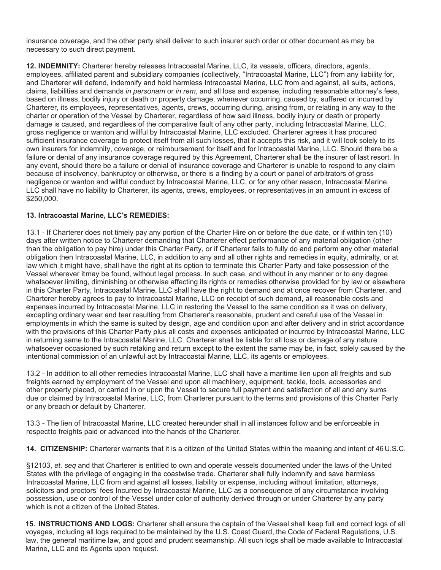insurance coverage, and the other party shall deliver to such insurer such order or other document as may be necessary to such direct payment.

**12. INDEMNITY:** Charterer hereby releases Intracoastal Marine, LLC, its vessels, officers, directors, agents, employees, affiliated parent and subsidiary companies (collectively, "Intracoastal Marine, LLC") from any liability for, and Charterer will defend, indemnify and hold harmless Intracoastal Marine, LLC from and against, all suits, actions, claims, liabilities and demands *in personam* or *in rem*, and all loss and expense, including reasonable attorney's fees, based on illness, bodily injury or death or property damage, whenever occurring, caused by, suffered or incurred by Charterer, its employees, representatives, agents, crews, occurring during, arising from, or relating in any way to the charter or operation of the Vessel by Charterer, regardless of how said illness, bodily injury or death or property damage is caused, and regardless of the comparative fault of any other party, including Intracoastal Marine, LLC, gross negligence or wanton and willful by Intracoastal Marine, LLC excluded. Charterer agrees it has procured sufficient insurance coverage to protect itself from all such losses, that it accepts this risk, and it will look solely to its own insurers for indemnity, coverage, or reimbursement for itself and for Intracoastal Marine, LLC. Should there be a failure or denial of any insurance coverage required by this Agreement, Charterer shall be the insurer of last resort. In any event, should there be a failure or denial of insurance coverage and Charterer is unable to respond to any claim because of insolvency, bankruptcy or otherwise, or there is a finding by a court or panel of arbitrators of gross negligence or wanton and willful conduct by Intracoastal Marine, LLC, or for any other reason, Intracoastal Marine, LLC shall have no liability to Charterer, its agents, crews, employees, or representatives in an amount in excess of \$250,000.

### **13. Intracoastal Marine, LLC's REMEDIES:**

13.1 - If Charterer does not timely pay any portion of the Charter Hire on or before the due date, or if within ten (10) days after written notice to Charterer demanding that Charterer effect performance of any material obligation (other than the obligation to pay hire) under this Charter Party, or if Charterer fails to fully do and perform any other material obligation then Intracoastal Marine, LLC, in addition to any and all other rights and remedies in equity, admiralty, or at law which it might have, shall have the right at its option to terminate this Charter Party and take possession of the Vessel wherever itmay be found, without legal process. In such case, and without in any manner or to any degree whatsoever limiting, diminishing or otherwise affecting its rights or remedies otherwise provided for by law or elsewhere in this Charter Party, Intracoastal Marine, LLC shall have the right to demand and at once recover from Charterer, and Charterer hereby agrees to pay to Intracoastal Marine, LLC on receipt of such demand, all reasonable costs and expenses incurred by Intracoastal Marine, LLC in restoring the Vessel to the same condition as it was on delivery, excepting ordinary wear and tear resulting from Charterer's reasonable, prudent and careful use of the Vessel in employments in which the same is suited by design, age and condition upon and after delivery and in strict accordance with the provisions of this Charter Party plus all costs and expenses anticipated or incurred by Intracoastal Marine, LLC in returning same to the Intracoastal Marine, LLC. Charterer shall be liable for all loss or damage of any nature whatsoever occasioned by such retaking and return except to the extent the same may be, in fact, solely caused by the intentional commission of an unlawful act by Intracoastal Marine, LLC, its agents or employees.

13.2 - In addition to all other remedies Intracoastal Marine, LLC shall have a maritime lien upon all freights and sub freights earned by employment of the Vessel and upon all machinery, equipment, tackle, tools, accessories and other property placed, or carried in or upon the Vessel to secure full payment and satisfaction of all and any sums due or claimed by Intracoastal Marine, LLC, from Charterer pursuant to the terms and provisions of this Charter Party or any breach or default by Charterer.

13.3 - The lien of Intracoastal Marine, LLC created hereunder shall in all instances follow and be enforceable in respectto freights paid or advanced into the hands of the Charterer.

**14. CITIZENSHIP:** Charterer warrants that it is a citizen of the United States within the meaning and intent of 46 U.S.C.

§12103, *et. seq* and that Charterer is entitled to own and operate vessels documented under the laws of the United States with the privilege of engaging in the coastwise trade. Charterer shall fully indemnify and save harmless Intracoastal Marine, LLC from and against all losses, liability or expense, including without limitation, attorneys, solicitors and proctors' fees Incurred by Intracoastal Marine, LLC as a consequence of any circumstance involving possession, use or control of the Vessel under color of authority derived through or under Charterer by any party which is not a citizen of the United States.

**15. INSTRUCTIONS AND LOGS:** Charterer shall ensure the captain of the Vessel shall keep full and correct logs of all voyages, including all logs required to be maintained by the U.S. Coast Guard, the Code of Federal Regulations, U.S. law, the general maritime law, and good and prudent seamanship. All such logs shall be made available to Intracoastal Marine, LLC and its Agents upon request.